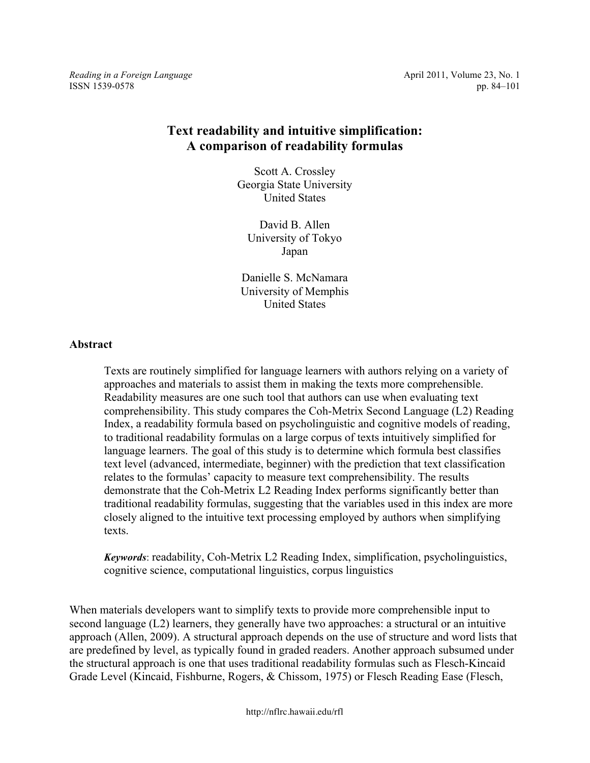*Reading in a Foreign Language* **April 2011, Volume 23, No. 1 April 2011**, Volume 23, No. 1 ISSN 1539-0578 pp. 84–101

# **Text readability and intuitive simplification: A comparison of readability formulas**

Scott A. Crossley Georgia State University United States

David B. Allen University of Tokyo Japan

Danielle S. McNamara University of Memphis United States

### **Abstract**

Texts are routinely simplified for language learners with authors relying on a variety of approaches and materials to assist them in making the texts more comprehensible. Readability measures are one such tool that authors can use when evaluating text comprehensibility. This study compares the Coh-Metrix Second Language (L2) Reading Index, a readability formula based on psycholinguistic and cognitive models of reading, to traditional readability formulas on a large corpus of texts intuitively simplified for language learners. The goal of this study is to determine which formula best classifies text level (advanced, intermediate, beginner) with the prediction that text classification relates to the formulas' capacity to measure text comprehensibility. The results demonstrate that the Coh-Metrix L2 Reading Index performs significantly better than traditional readability formulas, suggesting that the variables used in this index are more closely aligned to the intuitive text processing employed by authors when simplifying texts.

*Keywords*: readability, Coh-Metrix L2 Reading Index, simplification, psycholinguistics, cognitive science, computational linguistics, corpus linguistics

When materials developers want to simplify texts to provide more comprehensible input to second language (L2) learners, they generally have two approaches: a structural or an intuitive approach (Allen, 2009). A structural approach depends on the use of structure and word lists that are predefined by level, as typically found in graded readers. Another approach subsumed under the structural approach is one that uses traditional readability formulas such as Flesch-Kincaid Grade Level (Kincaid, Fishburne, Rogers, & Chissom, 1975) or Flesch Reading Ease (Flesch,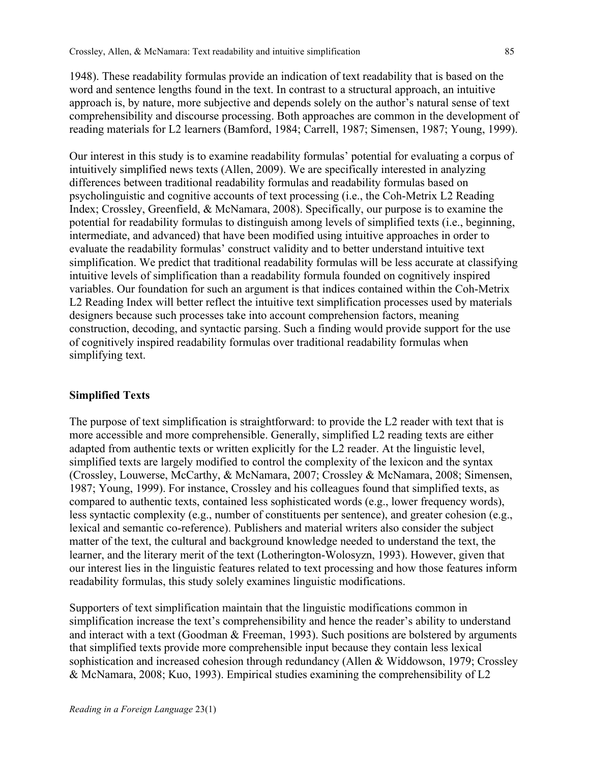1948). These readability formulas provide an indication of text readability that is based on the word and sentence lengths found in the text. In contrast to a structural approach, an intuitive approach is, by nature, more subjective and depends solely on the author's natural sense of text comprehensibility and discourse processing. Both approaches are common in the development of reading materials for L2 learners (Bamford, 1984; Carrell, 1987; Simensen, 1987; Young, 1999).

Our interest in this study is to examine readability formulas' potential for evaluating a corpus of intuitively simplified news texts (Allen, 2009). We are specifically interested in analyzing differences between traditional readability formulas and readability formulas based on psycholinguistic and cognitive accounts of text processing (i.e., the Coh-Metrix L2 Reading Index; Crossley, Greenfield, & McNamara, 2008). Specifically, our purpose is to examine the potential for readability formulas to distinguish among levels of simplified texts (i.e., beginning, intermediate, and advanced) that have been modified using intuitive approaches in order to evaluate the readability formulas' construct validity and to better understand intuitive text simplification. We predict that traditional readability formulas will be less accurate at classifying intuitive levels of simplification than a readability formula founded on cognitively inspired variables. Our foundation for such an argument is that indices contained within the Coh-Metrix L2 Reading Index will better reflect the intuitive text simplification processes used by materials designers because such processes take into account comprehension factors, meaning construction, decoding, and syntactic parsing. Such a finding would provide support for the use of cognitively inspired readability formulas over traditional readability formulas when simplifying text.

#### **Simplified Texts**

The purpose of text simplification is straightforward: to provide the L2 reader with text that is more accessible and more comprehensible. Generally, simplified L2 reading texts are either adapted from authentic texts or written explicitly for the L2 reader. At the linguistic level, simplified texts are largely modified to control the complexity of the lexicon and the syntax (Crossley, Louwerse, McCarthy, & McNamara, 2007; Crossley & McNamara, 2008; Simensen, 1987; Young, 1999). For instance, Crossley and his colleagues found that simplified texts, as compared to authentic texts, contained less sophisticated words (e.g., lower frequency words), less syntactic complexity (e.g., number of constituents per sentence), and greater cohesion (e.g., lexical and semantic co-reference). Publishers and material writers also consider the subject matter of the text, the cultural and background knowledge needed to understand the text, the learner, and the literary merit of the text (Lotherington-Wolosyzn, 1993). However, given that our interest lies in the linguistic features related to text processing and how those features inform readability formulas, this study solely examines linguistic modifications.

Supporters of text simplification maintain that the linguistic modifications common in simplification increase the text's comprehensibility and hence the reader's ability to understand and interact with a text (Goodman & Freeman, 1993). Such positions are bolstered by arguments that simplified texts provide more comprehensible input because they contain less lexical sophistication and increased cohesion through redundancy (Allen & Widdowson, 1979; Crossley & McNamara, 2008; Kuo, 1993). Empirical studies examining the comprehensibility of L2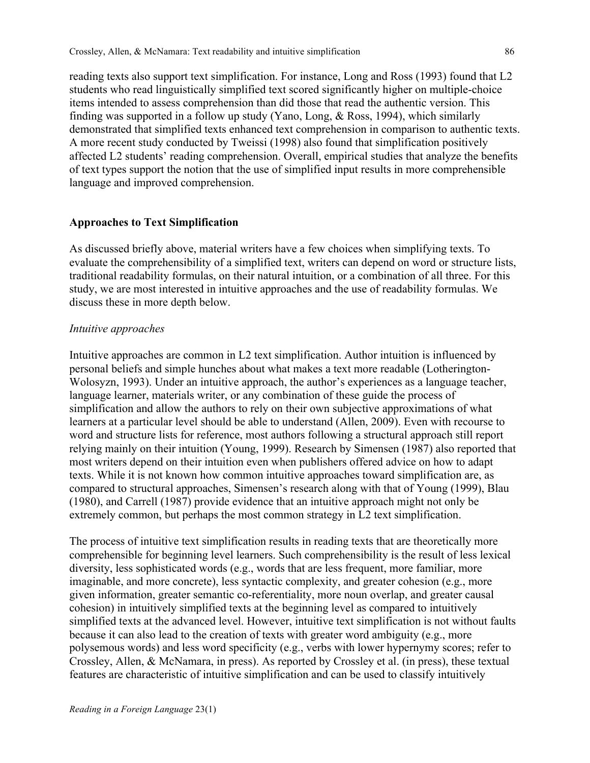reading texts also support text simplification. For instance, Long and Ross (1993) found that L2 students who read linguistically simplified text scored significantly higher on multiple-choice items intended to assess comprehension than did those that read the authentic version. This finding was supported in a follow up study (Yano, Long, & Ross, 1994), which similarly demonstrated that simplified texts enhanced text comprehension in comparison to authentic texts. A more recent study conducted by Tweissi (1998) also found that simplification positively affected L2 students' reading comprehension. Overall, empirical studies that analyze the benefits of text types support the notion that the use of simplified input results in more comprehensible language and improved comprehension.

#### **Approaches to Text Simplification**

As discussed briefly above, material writers have a few choices when simplifying texts. To evaluate the comprehensibility of a simplified text, writers can depend on word or structure lists, traditional readability formulas, on their natural intuition, or a combination of all three. For this study, we are most interested in intuitive approaches and the use of readability formulas. We discuss these in more depth below.

### *Intuitive approaches*

Intuitive approaches are common in L2 text simplification. Author intuition is influenced by personal beliefs and simple hunches about what makes a text more readable (Lotherington-Wolosyzn, 1993). Under an intuitive approach, the author's experiences as a language teacher, language learner, materials writer, or any combination of these guide the process of simplification and allow the authors to rely on their own subjective approximations of what learners at a particular level should be able to understand (Allen, 2009). Even with recourse to word and structure lists for reference, most authors following a structural approach still report relying mainly on their intuition (Young, 1999). Research by Simensen (1987) also reported that most writers depend on their intuition even when publishers offered advice on how to adapt texts. While it is not known how common intuitive approaches toward simplification are, as compared to structural approaches, Simensen's research along with that of Young (1999), Blau (1980), and Carrell (1987) provide evidence that an intuitive approach might not only be extremely common, but perhaps the most common strategy in L2 text simplification.

The process of intuitive text simplification results in reading texts that are theoretically more comprehensible for beginning level learners. Such comprehensibility is the result of less lexical diversity, less sophisticated words (e.g., words that are less frequent, more familiar, more imaginable, and more concrete), less syntactic complexity, and greater cohesion (e.g., more given information, greater semantic co-referentiality, more noun overlap, and greater causal cohesion) in intuitively simplified texts at the beginning level as compared to intuitively simplified texts at the advanced level. However, intuitive text simplification is not without faults because it can also lead to the creation of texts with greater word ambiguity (e.g., more polysemous words) and less word specificity (e.g., verbs with lower hypernymy scores; refer to Crossley, Allen, & McNamara, in press). As reported by Crossley et al. (in press), these textual features are characteristic of intuitive simplification and can be used to classify intuitively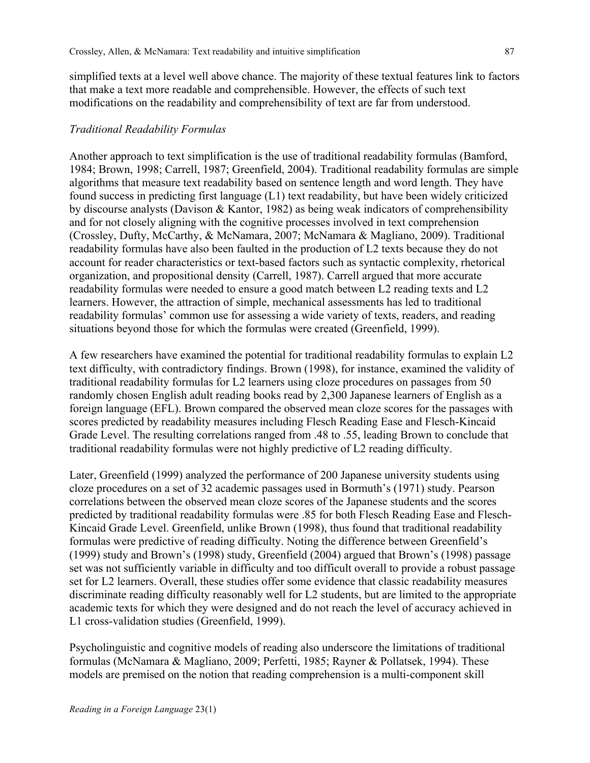simplified texts at a level well above chance. The majority of these textual features link to factors that make a text more readable and comprehensible. However, the effects of such text modifications on the readability and comprehensibility of text are far from understood.

### *Traditional Readability Formulas*

Another approach to text simplification is the use of traditional readability formulas (Bamford, 1984; Brown, 1998; Carrell, 1987; Greenfield, 2004). Traditional readability formulas are simple algorithms that measure text readability based on sentence length and word length. They have found success in predicting first language (L1) text readability, but have been widely criticized by discourse analysts (Davison & Kantor, 1982) as being weak indicators of comprehensibility and for not closely aligning with the cognitive processes involved in text comprehension (Crossley, Dufty, McCarthy, & McNamara, 2007; McNamara & Magliano, 2009). Traditional readability formulas have also been faulted in the production of L2 texts because they do not account for reader characteristics or text-based factors such as syntactic complexity, rhetorical organization, and propositional density (Carrell, 1987). Carrell argued that more accurate readability formulas were needed to ensure a good match between L2 reading texts and L2 learners. However, the attraction of simple, mechanical assessments has led to traditional readability formulas' common use for assessing a wide variety of texts, readers, and reading situations beyond those for which the formulas were created (Greenfield, 1999).

A few researchers have examined the potential for traditional readability formulas to explain L2 text difficulty, with contradictory findings. Brown (1998), for instance, examined the validity of traditional readability formulas for L2 learners using cloze procedures on passages from 50 randomly chosen English adult reading books read by 2,300 Japanese learners of English as a foreign language (EFL). Brown compared the observed mean cloze scores for the passages with scores predicted by readability measures including Flesch Reading Ease and Flesch-Kincaid Grade Level. The resulting correlations ranged from .48 to .55, leading Brown to conclude that traditional readability formulas were not highly predictive of L2 reading difficulty.

Later, Greenfield (1999) analyzed the performance of 200 Japanese university students using cloze procedures on a set of 32 academic passages used in Bormuth's (1971) study. Pearson correlations between the observed mean cloze scores of the Japanese students and the scores predicted by traditional readability formulas were .85 for both Flesch Reading Ease and Flesch-Kincaid Grade Level. Greenfield, unlike Brown (1998), thus found that traditional readability formulas were predictive of reading difficulty. Noting the difference between Greenfield's (1999) study and Brown's (1998) study, Greenfield (2004) argued that Brown's (1998) passage set was not sufficiently variable in difficulty and too difficult overall to provide a robust passage set for L2 learners. Overall, these studies offer some evidence that classic readability measures discriminate reading difficulty reasonably well for L2 students, but are limited to the appropriate academic texts for which they were designed and do not reach the level of accuracy achieved in L1 cross-validation studies (Greenfield, 1999).

Psycholinguistic and cognitive models of reading also underscore the limitations of traditional formulas (McNamara & Magliano, 2009; Perfetti, 1985; Rayner & Pollatsek, 1994). These models are premised on the notion that reading comprehension is a multi-component skill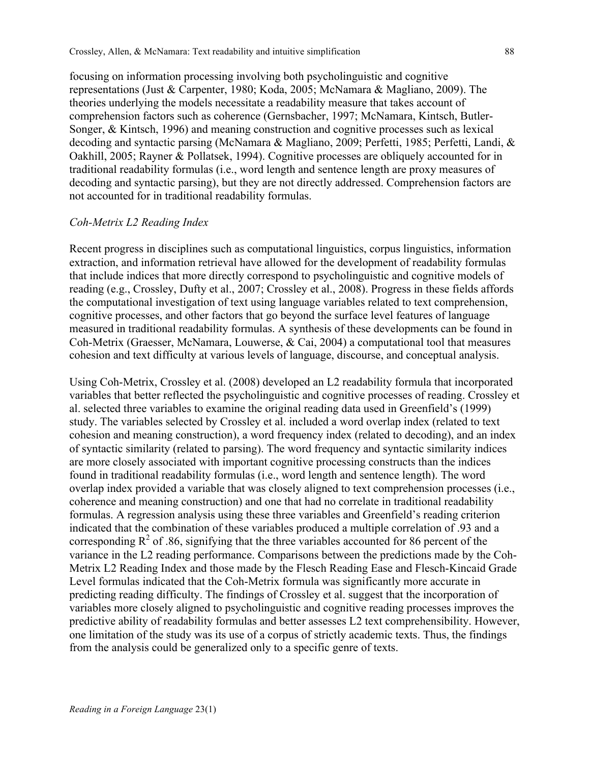focusing on information processing involving both psycholinguistic and cognitive representations (Just & Carpenter, 1980; Koda, 2005; McNamara & Magliano, 2009). The theories underlying the models necessitate a readability measure that takes account of comprehension factors such as coherence (Gernsbacher, 1997; McNamara, Kintsch, Butler-Songer, & Kintsch, 1996) and meaning construction and cognitive processes such as lexical decoding and syntactic parsing (McNamara & Magliano, 2009; Perfetti, 1985; Perfetti, Landi, & Oakhill, 2005; Rayner & Pollatsek, 1994). Cognitive processes are obliquely accounted for in traditional readability formulas (i.e., word length and sentence length are proxy measures of decoding and syntactic parsing), but they are not directly addressed. Comprehension factors are not accounted for in traditional readability formulas.

#### *Coh-Metrix L2 Reading Index*

Recent progress in disciplines such as computational linguistics, corpus linguistics, information extraction, and information retrieval have allowed for the development of readability formulas that include indices that more directly correspond to psycholinguistic and cognitive models of reading (e.g., Crossley, Dufty et al., 2007; Crossley et al., 2008). Progress in these fields affords the computational investigation of text using language variables related to text comprehension, cognitive processes, and other factors that go beyond the surface level features of language measured in traditional readability formulas. A synthesis of these developments can be found in Coh-Metrix (Graesser, McNamara, Louwerse, & Cai, 2004) a computational tool that measures cohesion and text difficulty at various levels of language, discourse, and conceptual analysis.

Using Coh-Metrix, Crossley et al. (2008) developed an L2 readability formula that incorporated variables that better reflected the psycholinguistic and cognitive processes of reading. Crossley et al. selected three variables to examine the original reading data used in Greenfield's (1999) study. The variables selected by Crossley et al. included a word overlap index (related to text cohesion and meaning construction), a word frequency index (related to decoding), and an index of syntactic similarity (related to parsing). The word frequency and syntactic similarity indices are more closely associated with important cognitive processing constructs than the indices found in traditional readability formulas (i.e., word length and sentence length). The word overlap index provided a variable that was closely aligned to text comprehension processes (i.e., coherence and meaning construction) and one that had no correlate in traditional readability formulas. A regression analysis using these three variables and Greenfield's reading criterion indicated that the combination of these variables produced a multiple correlation of .93 and a corresponding  $R^2$  of .86, signifying that the three variables accounted for 86 percent of the variance in the L2 reading performance. Comparisons between the predictions made by the Coh-Metrix L2 Reading Index and those made by the Flesch Reading Ease and Flesch-Kincaid Grade Level formulas indicated that the Coh-Metrix formula was significantly more accurate in predicting reading difficulty. The findings of Crossley et al. suggest that the incorporation of variables more closely aligned to psycholinguistic and cognitive reading processes improves the predictive ability of readability formulas and better assesses L2 text comprehensibility. However, one limitation of the study was its use of a corpus of strictly academic texts. Thus, the findings from the analysis could be generalized only to a specific genre of texts.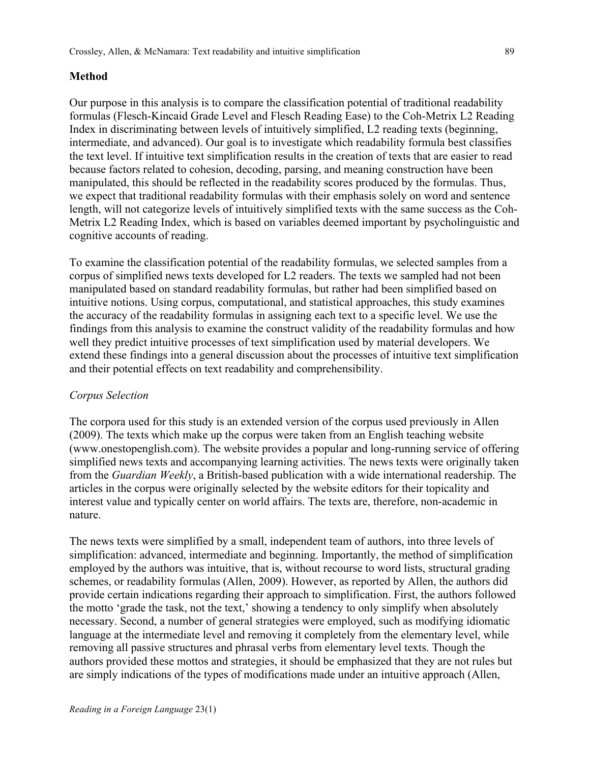### **Method**

Our purpose in this analysis is to compare the classification potential of traditional readability formulas (Flesch-Kincaid Grade Level and Flesch Reading Ease) to the Coh-Metrix L2 Reading Index in discriminating between levels of intuitively simplified, L2 reading texts (beginning, intermediate, and advanced). Our goal is to investigate which readability formula best classifies the text level. If intuitive text simplification results in the creation of texts that are easier to read because factors related to cohesion, decoding, parsing, and meaning construction have been manipulated, this should be reflected in the readability scores produced by the formulas. Thus, we expect that traditional readability formulas with their emphasis solely on word and sentence length, will not categorize levels of intuitively simplified texts with the same success as the Coh-Metrix L2 Reading Index, which is based on variables deemed important by psycholinguistic and cognitive accounts of reading.

To examine the classification potential of the readability formulas, we selected samples from a corpus of simplified news texts developed for L2 readers. The texts we sampled had not been manipulated based on standard readability formulas, but rather had been simplified based on intuitive notions. Using corpus, computational, and statistical approaches, this study examines the accuracy of the readability formulas in assigning each text to a specific level. We use the findings from this analysis to examine the construct validity of the readability formulas and how well they predict intuitive processes of text simplification used by material developers. We extend these findings into a general discussion about the processes of intuitive text simplification and their potential effects on text readability and comprehensibility.

### *Corpus Selection*

The corpora used for this study is an extended version of the corpus used previously in Allen (2009). The texts which make up the corpus were taken from an English teaching website (www.onestopenglish.com). The website provides a popular and long-running service of offering simplified news texts and accompanying learning activities. The news texts were originally taken from the *Guardian Weekly*, a British-based publication with a wide international readership. The articles in the corpus were originally selected by the website editors for their topicality and interest value and typically center on world affairs. The texts are, therefore, non-academic in nature.

The news texts were simplified by a small, independent team of authors, into three levels of simplification: advanced, intermediate and beginning. Importantly, the method of simplification employed by the authors was intuitive, that is, without recourse to word lists, structural grading schemes, or readability formulas (Allen, 2009). However, as reported by Allen, the authors did provide certain indications regarding their approach to simplification. First, the authors followed the motto 'grade the task, not the text,' showing a tendency to only simplify when absolutely necessary. Second, a number of general strategies were employed, such as modifying idiomatic language at the intermediate level and removing it completely from the elementary level, while removing all passive structures and phrasal verbs from elementary level texts. Though the authors provided these mottos and strategies, it should be emphasized that they are not rules but are simply indications of the types of modifications made under an intuitive approach (Allen,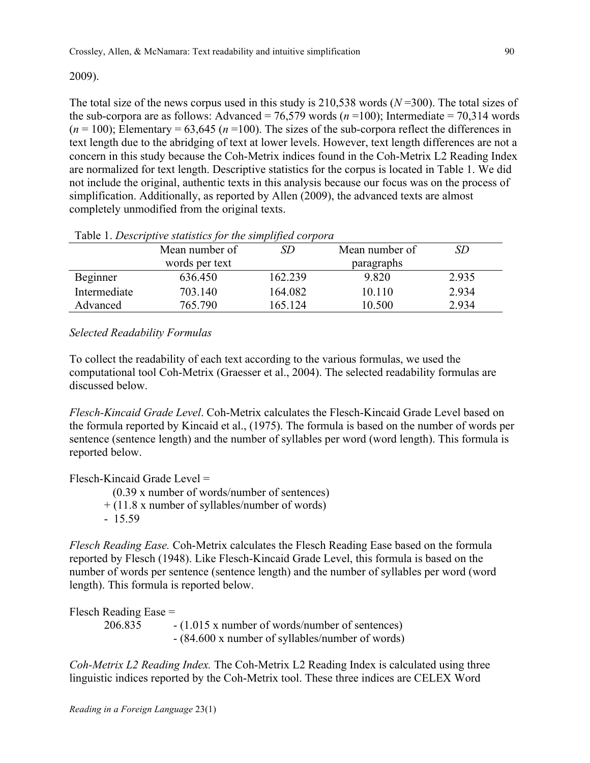## 2009).

The total size of the news corpus used in this study is 210,538 words (*N* =300). The total sizes of the sub-corpora are as follows: Advanced =  $76,579$  words ( $n = 100$ ); Intermediate =  $70,314$  words  $(n = 100)$ ; Elementary = 63,645 ( $n = 100$ ). The sizes of the sub-corpora reflect the differences in text length due to the abridging of text at lower levels. However, text length differences are not a concern in this study because the Coh-Metrix indices found in the Coh-Metrix L2 Reading Index are normalized for text length. Descriptive statistics for the corpus is located in Table 1. We did not include the original, authentic texts in this analysis because our focus was on the process of simplification. Additionally, as reported by Allen (2009), the advanced texts are almost completely unmodified from the original texts.

|              | Mean number of | SD      | Mean number of | SD    |
|--------------|----------------|---------|----------------|-------|
|              | words per text |         | paragraphs     |       |
| Beginner     | 636.450        | 162.239 | 9.820          | 2.935 |
| Intermediate | 703 140        | 164.082 | 10 110         | 2.934 |
| Advanced     | 765.790        | 165.124 | 10.500         | 2.934 |

### Table 1. *Descriptive statistics for the simplified corpora*

## *Selected Readability Formulas*

To collect the readability of each text according to the various formulas, we used the computational tool Coh-Metrix (Graesser et al., 2004). The selected readability formulas are discussed below.

*Flesch-Kincaid Grade Level*. Coh-Metrix calculates the Flesch-Kincaid Grade Level based on the formula reported by Kincaid et al., (1975). The formula is based on the number of words per sentence (sentence length) and the number of syllables per word (word length). This formula is reported below.

Flesch-Kincaid Grade Level =

(0.39 x number of words/number of sentences)

- + (11.8 x number of syllables/number of words)
- 15.59

*Flesch Reading Ease.* Coh-Metrix calculates the Flesch Reading Ease based on the formula reported by Flesch (1948). Like Flesch-Kincaid Grade Level, this formula is based on the number of words per sentence (sentence length) and the number of syllables per word (word length). This formula is reported below.

Flesch Reading Ease = 206.835 - (1.015 x number of words/number of sentences) - (84.600 x number of syllables/number of words)

*Coh-Metrix L2 Reading Index.* The Coh-Metrix L2 Reading Index is calculated using three linguistic indices reported by the Coh-Metrix tool. These three indices are CELEX Word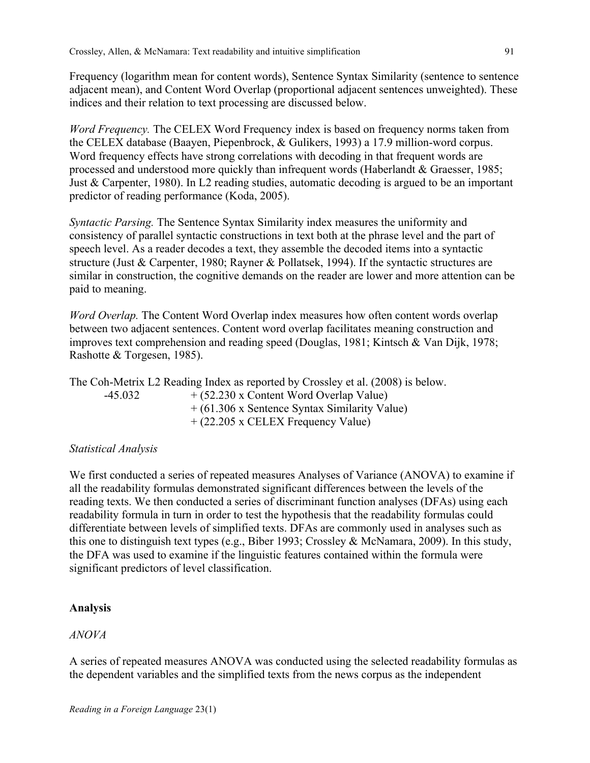Frequency (logarithm mean for content words), Sentence Syntax Similarity (sentence to sentence adjacent mean), and Content Word Overlap (proportional adjacent sentences unweighted). These indices and their relation to text processing are discussed below.

*Word Frequency.* The CELEX Word Frequency index is based on frequency norms taken from the CELEX database (Baayen, Piepenbrock, & Gulikers, 1993) a 17.9 million-word corpus. Word frequency effects have strong correlations with decoding in that frequent words are processed and understood more quickly than infrequent words (Haberlandt & Graesser, 1985; Just & Carpenter, 1980). In L2 reading studies, automatic decoding is argued to be an important predictor of reading performance (Koda, 2005).

*Syntactic Parsing.* The Sentence Syntax Similarity index measures the uniformity and consistency of parallel syntactic constructions in text both at the phrase level and the part of speech level. As a reader decodes a text, they assemble the decoded items into a syntactic structure (Just & Carpenter, 1980; Rayner & Pollatsek, 1994). If the syntactic structures are similar in construction, the cognitive demands on the reader are lower and more attention can be paid to meaning.

*Word Overlap.* The Content Word Overlap index measures how often content words overlap between two adjacent sentences. Content word overlap facilitates meaning construction and improves text comprehension and reading speed (Douglas, 1981; Kintsch & Van Dijk, 1978; Rashotte & Torgesen, 1985).

The Coh-Metrix L2 Reading Index as reported by Crossley et al. (2008) is below.  $-45.032$  +  $(52.230 \text{ x Content Word Overlap Value})$ + (61.306 x Sentence Syntax Similarity Value) + (22.205 x CELEX Frequency Value)

## *Statistical Analysis*

We first conducted a series of repeated measures Analyses of Variance (ANOVA) to examine if all the readability formulas demonstrated significant differences between the levels of the reading texts. We then conducted a series of discriminant function analyses (DFAs) using each readability formula in turn in order to test the hypothesis that the readability formulas could differentiate between levels of simplified texts. DFAs are commonly used in analyses such as this one to distinguish text types (e.g., Biber 1993; Crossley & McNamara, 2009). In this study, the DFA was used to examine if the linguistic features contained within the formula were significant predictors of level classification.

## **Analysis**

## *ANOVA*

A series of repeated measures ANOVA was conducted using the selected readability formulas as the dependent variables and the simplified texts from the news corpus as the independent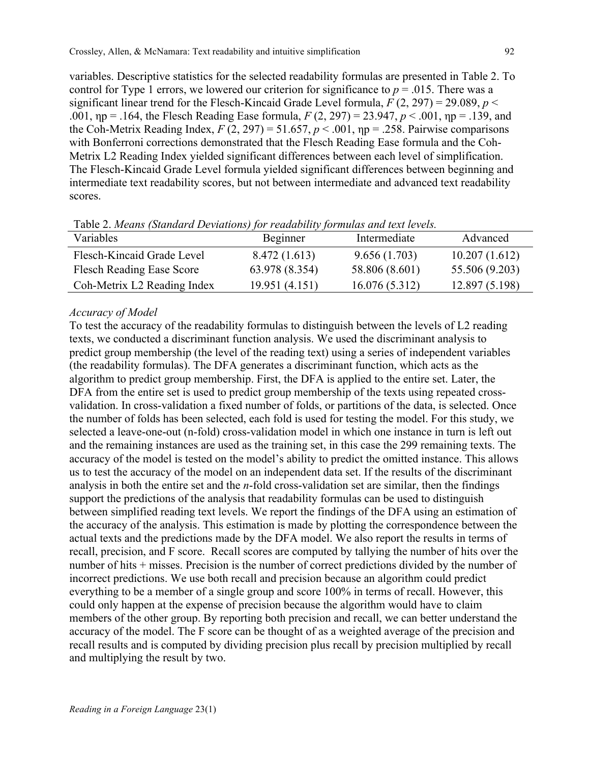variables. Descriptive statistics for the selected readability formulas are presented in Table 2. To control for Type 1 errors, we lowered our criterion for significance to  $p = .015$ . There was a significant linear trend for the Flesch-Kincaid Grade Level formula,  $F(2, 297) = 29.089$ ,  $p <$ .001, ηp = .164, the Flesch Reading Ease formula, *F* (2, 297) = 23.947, *p* < .001, ηp = .139, and the Coh-Metrix Reading Index,  $F(2, 297) = 51.657$ ,  $p < .001$ ,  $np = .258$ . Pairwise comparisons with Bonferroni corrections demonstrated that the Flesch Reading Ease formula and the Coh-Metrix L2 Reading Index yielded significant differences between each level of simplification. The Flesch-Kincaid Grade Level formula yielded significant differences between beginning and intermediate text readability scores, but not between intermediate and advanced text readability scores.

| Variables                        | Beginner       | Intermediate   | Advanced       |
|----------------------------------|----------------|----------------|----------------|
| Flesch-Kincaid Grade Level       | 8.472 (1.613)  | 9.656(1.703)   | 10.207(1.612)  |
| <b>Flesch Reading Ease Score</b> | 63.978 (8.354) | 58.806 (8.601) | 55.506 (9.203) |
| Coh-Metrix L2 Reading Index      | 19.951 (4.151) | 16.076(5.312)  | 12.897(5.198)  |

Table 2. *Means (Standard Deviations) for readability formulas and text levels.*

#### *Accuracy of Model*

To test the accuracy of the readability formulas to distinguish between the levels of L2 reading texts, we conducted a discriminant function analysis. We used the discriminant analysis to predict group membership (the level of the reading text) using a series of independent variables (the readability formulas). The DFA generates a discriminant function, which acts as the algorithm to predict group membership. First, the DFA is applied to the entire set. Later, the DFA from the entire set is used to predict group membership of the texts using repeated crossvalidation. In cross-validation a fixed number of folds, or partitions of the data, is selected. Once the number of folds has been selected, each fold is used for testing the model. For this study, we selected a leave-one-out (n-fold) cross-validation model in which one instance in turn is left out and the remaining instances are used as the training set, in this case the 299 remaining texts. The accuracy of the model is tested on the model's ability to predict the omitted instance. This allows us to test the accuracy of the model on an independent data set. If the results of the discriminant analysis in both the entire set and the *n*-fold cross-validation set are similar, then the findings support the predictions of the analysis that readability formulas can be used to distinguish between simplified reading text levels. We report the findings of the DFA using an estimation of the accuracy of the analysis. This estimation is made by plotting the correspondence between the actual texts and the predictions made by the DFA model. We also report the results in terms of recall, precision, and F score. Recall scores are computed by tallying the number of hits over the number of hits + misses. Precision is the number of correct predictions divided by the number of incorrect predictions. We use both recall and precision because an algorithm could predict everything to be a member of a single group and score 100% in terms of recall. However, this could only happen at the expense of precision because the algorithm would have to claim members of the other group. By reporting both precision and recall, we can better understand the accuracy of the model. The F score can be thought of as a weighted average of the precision and recall results and is computed by dividing precision plus recall by precision multiplied by recall and multiplying the result by two.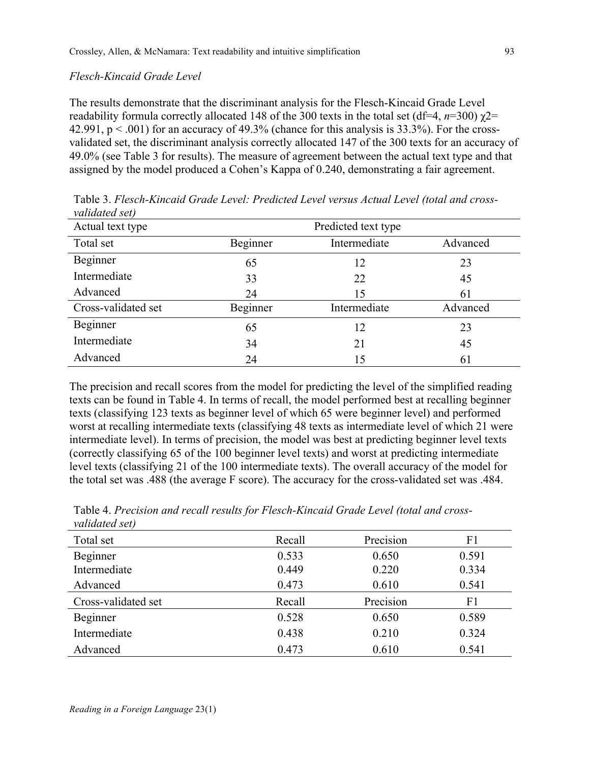### *Flesch-Kincaid Grade Level*

The results demonstrate that the discriminant analysis for the Flesch-Kincaid Grade Level readability formula correctly allocated 148 of the 300 texts in the total set (df=4, *n*=300)  $χ$ 2= 42.991,  $p < .001$ ) for an accuracy of 49.3% (chance for this analysis is 33.3%). For the crossvalidated set, the discriminant analysis correctly allocated 147 of the 300 texts for an accuracy of 49.0% (see Table 3 for results). The measure of agreement between the actual text type and that assigned by the model produced a Cohen's Kappa of 0.240, demonstrating a fair agreement.

| ramanca scr         |                     |              |          |
|---------------------|---------------------|--------------|----------|
| Actual text type    | Predicted text type |              |          |
| Total set           | Beginner            | Intermediate | Advanced |
| Beginner            | 65                  | 12           | 23       |
| Intermediate        | 33                  | 22           | 45       |
| Advanced            | 24                  | 15           | 61       |
| Cross-validated set | Beginner            | Intermediate | Advanced |
| Beginner            | 65                  | 12           | 23       |
| Intermediate        | 34                  | 21           | 45       |
| Advanced            | 24                  | 15           | 61       |

Table 3. *Flesch-Kincaid Grade Level: Predicted Level versus Actual Level (total and crossvalidated set)*

The precision and recall scores from the model for predicting the level of the simplified reading texts can be found in Table 4. In terms of recall, the model performed best at recalling beginner texts (classifying 123 texts as beginner level of which 65 were beginner level) and performed worst at recalling intermediate texts (classifying 48 texts as intermediate level of which 21 were intermediate level). In terms of precision, the model was best at predicting beginner level texts (correctly classifying 65 of the 100 beginner level texts) and worst at predicting intermediate level texts (classifying 21 of the 100 intermediate texts). The overall accuracy of the model for the total set was .488 (the average F score). The accuracy for the cross-validated set was .484.

| valladica scip      |        |           |       |
|---------------------|--------|-----------|-------|
| Total set           | Recall | Precision | F1    |
| Beginner            | 0.533  | 0.650     | 0.591 |
| Intermediate        | 0.449  | 0.220     | 0.334 |
| Advanced            | 0.473  | 0.610     | 0.541 |
| Cross-validated set | Recall | Precision | F1    |
| Beginner            | 0.528  | 0.650     | 0.589 |
| Intermediate        | 0.438  | 0.210     | 0.324 |
| Advanced            | 0.473  | 0.610     | 0.541 |

Table 4. *Precision and recall results for Flesch-Kincaid Grade Level (total and crossvalidated set)*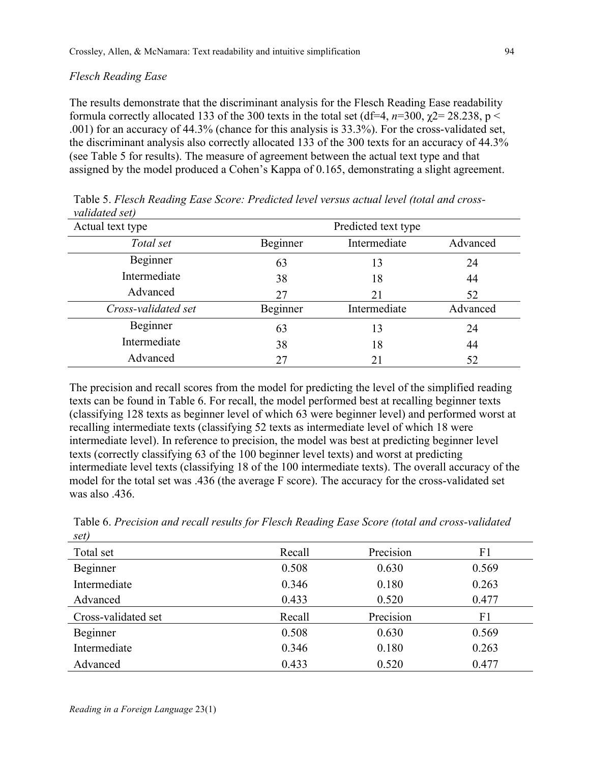### *Flesch Reading Ease*

The results demonstrate that the discriminant analysis for the Flesch Reading Ease readability formula correctly allocated 133 of the 300 texts in the total set (df=4,  $n=300$ ,  $\chi$ 2= 28.238, p < .001) for an accuracy of 44.3% (chance for this analysis is 33.3%). For the cross-validated set, the discriminant analysis also correctly allocated 133 of the 300 texts for an accuracy of 44.3% (see Table 5 for results). The measure of agreement between the actual text type and that assigned by the model produced a Cohen's Kappa of 0.165, demonstrating a slight agreement.

| <i>vulluuleu self</i><br>Actual text type |          |              |          |
|-------------------------------------------|----------|--------------|----------|
| Total set                                 | Beginner | Intermediate | Advanced |
| Beginner                                  | 63       | 13           | 24       |
| Intermediate                              | 38       | 18           | 44       |
| Advanced                                  | 27       | 21           | 52       |
| Cross-validated set                       | Beginner | Intermediate | Advanced |
| Beginner                                  | 63       | 13           | 24       |
| Intermediate                              | 38       | 18           | 44       |
| Advanced                                  | 27       |              | 52       |

Table 5. *Flesch Reading Ease Score: Predicted level versus actual level (total and crossvalidated set)*

The precision and recall scores from the model for predicting the level of the simplified reading texts can be found in Table 6. For recall, the model performed best at recalling beginner texts (classifying 128 texts as beginner level of which 63 were beginner level) and performed worst at recalling intermediate texts (classifying 52 texts as intermediate level of which 18 were intermediate level). In reference to precision, the model was best at predicting beginner level texts (correctly classifying 63 of the 100 beginner level texts) and worst at predicting intermediate level texts (classifying 18 of the 100 intermediate texts). The overall accuracy of the model for the total set was .436 (the average F score). The accuracy for the cross-validated set was also .436.

| $\mathcal{E}(\mathcal{U})$ |        |           |       |
|----------------------------|--------|-----------|-------|
| Total set                  | Recall | Precision | F1    |
| Beginner                   | 0.508  | 0.630     | 0.569 |
| Intermediate               | 0.346  | 0.180     | 0.263 |
| Advanced                   | 0.433  | 0.520     | 0.477 |
| Cross-validated set        | Recall | Precision | F1    |
| Beginner                   | 0.508  | 0.630     | 0.569 |
| Intermediate               | 0.346  | 0.180     | 0.263 |
| Advanced                   | 0.433  | 0.520     | 0.477 |

Table 6. *Precision and recall results for Flesch Reading Ease Score (total and cross-validated set)*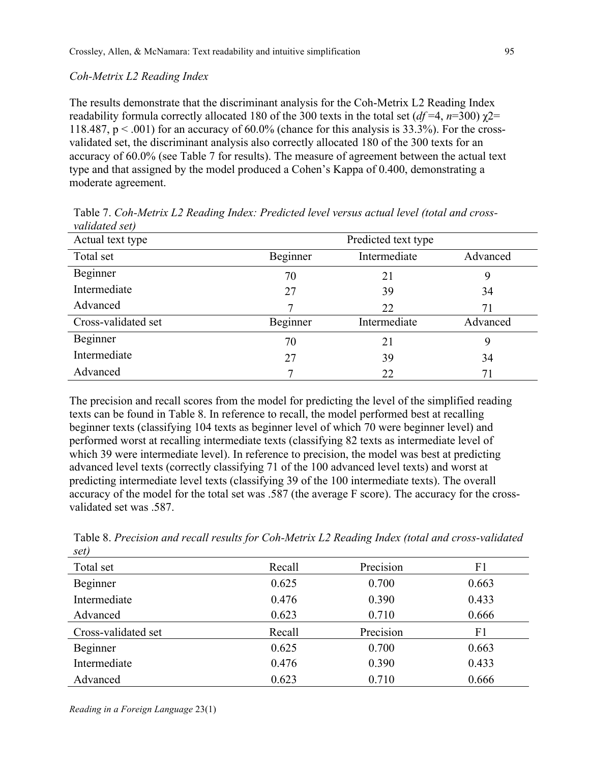### *Coh-Metrix L2 Reading Index*

The results demonstrate that the discriminant analysis for the Coh-Metrix L2 Reading Index readability formula correctly allocated 180 of the 300 texts in the total set ( $df = 4$ ,  $n=300$ )  $χ2=$ 118.487,  $p < .001$ ) for an accuracy of 60.0% (chance for this analysis is 33.3%). For the crossvalidated set, the discriminant analysis also correctly allocated 180 of the 300 texts for an accuracy of 60.0% (see Table 7 for results). The measure of agreement between the actual text type and that assigned by the model produced a Cohen's Kappa of 0.400, demonstrating a moderate agreement.

| Actual text type    | Predicted text type |              |          |
|---------------------|---------------------|--------------|----------|
| Total set           | Beginner            | Intermediate | Advanced |
| Beginner            | 70                  | 21           |          |
| Intermediate        | 27                  | 39           | 34       |
| Advanced            |                     | 22           | 71       |
| Cross-validated set | Beginner            | Intermediate | Advanced |
| Beginner            | 70                  | 21           | 9        |
| Intermediate        | 27                  | 39           | 34       |
| Advanced            |                     | 22           | 71       |

Table 7. *Coh-Metrix L2 Reading Index: Predicted level versus actual level (total and crossvalidated set)*

The precision and recall scores from the model for predicting the level of the simplified reading texts can be found in Table 8. In reference to recall, the model performed best at recalling beginner texts (classifying 104 texts as beginner level of which 70 were beginner level) and performed worst at recalling intermediate texts (classifying 82 texts as intermediate level of which 39 were intermediate level). In reference to precision, the model was best at predicting advanced level texts (correctly classifying 71 of the 100 advanced level texts) and worst at predicting intermediate level texts (classifying 39 of the 100 intermediate texts). The overall accuracy of the model for the total set was .587 (the average F score). The accuracy for the crossvalidated set was .587.

| っしょ                 |        |           |       |
|---------------------|--------|-----------|-------|
| Total set           | Recall | Precision | F1    |
| Beginner            | 0.625  | 0.700     | 0.663 |
| Intermediate        | 0.476  | 0.390     | 0.433 |
| Advanced            | 0.623  | 0.710     | 0.666 |
| Cross-validated set | Recall | Precision | F1    |
| Beginner            | 0.625  | 0.700     | 0.663 |
| Intermediate        | 0.476  | 0.390     | 0.433 |
| Advanced            | 0.623  | 0.710     | 0.666 |

Table 8. *Precision and recall results for Coh-Metrix L2 Reading Index (total and cross-validated set)*

*Reading in a Foreign Language* 23(1)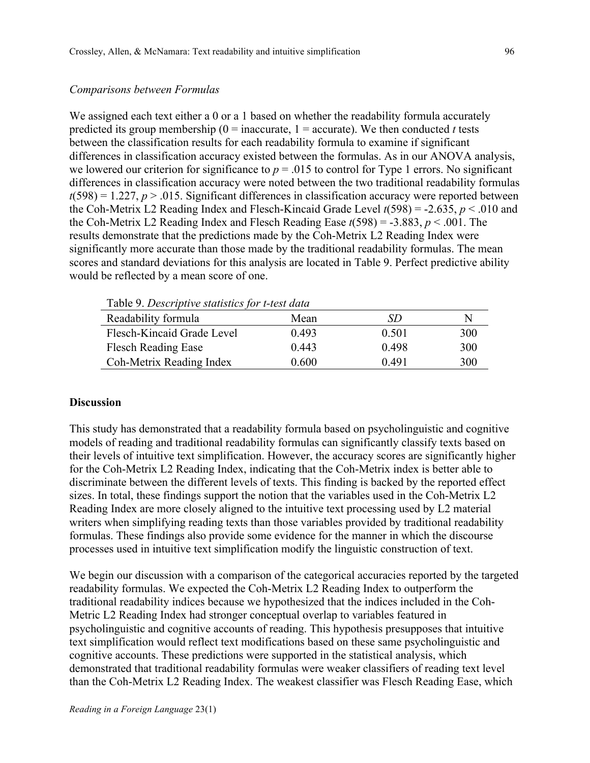#### *Comparisons between Formulas*

We assigned each text either a 0 or a 1 based on whether the readability formula accurately predicted its group membership ( $0 =$  inaccurate,  $1 =$  accurate). We then conducted *t* tests between the classification results for each readability formula to examine if significant differences in classification accuracy existed between the formulas. As in our ANOVA analysis, we lowered our criterion for significance to  $p = 0.015$  to control for Type 1 errors. No significant differences in classification accuracy were noted between the two traditional readability formulas  $t(598) = 1.227$ ,  $p > .015$ . Significant differences in classification accuracy were reported between the Coh-Metrix L2 Reading Index and Flesch-Kincaid Grade Level *t*(598) = -2.635, *p* < .010 and the Coh-Metrix L2 Reading Index and Flesch Reading Ease  $t(598) = -3.883$ ,  $p < .001$ . The results demonstrate that the predictions made by the Coh-Metrix L2 Reading Index were significantly more accurate than those made by the traditional readability formulas. The mean scores and standard deviations for this analysis are located in Table 9. Perfect predictive ability would be reflected by a mean score of one.

| Table 9. Descriptive statistics for t-test data |       |       |     |  |  |
|-------------------------------------------------|-------|-------|-----|--|--|
| Readability formula                             | Mean  | SD    | N   |  |  |
| Flesch-Kincaid Grade Level                      | 0.493 | 0.501 | 300 |  |  |
| <b>Flesch Reading Ease</b>                      | 0.443 | 0.498 | 300 |  |  |
| Coh-Metrix Reading Index                        | 0.600 | 0.491 | 300 |  |  |

Table 9. *Descriptive statistics for t-test data*

### **Discussion**

This study has demonstrated that a readability formula based on psycholinguistic and cognitive models of reading and traditional readability formulas can significantly classify texts based on their levels of intuitive text simplification. However, the accuracy scores are significantly higher for the Coh-Metrix L2 Reading Index, indicating that the Coh-Metrix index is better able to discriminate between the different levels of texts. This finding is backed by the reported effect sizes. In total, these findings support the notion that the variables used in the Coh-Metrix L2 Reading Index are more closely aligned to the intuitive text processing used by L2 material writers when simplifying reading texts than those variables provided by traditional readability formulas. These findings also provide some evidence for the manner in which the discourse processes used in intuitive text simplification modify the linguistic construction of text.

We begin our discussion with a comparison of the categorical accuracies reported by the targeted readability formulas. We expected the Coh-Metrix L2 Reading Index to outperform the traditional readability indices because we hypothesized that the indices included in the Coh-Metric L2 Reading Index had stronger conceptual overlap to variables featured in psycholinguistic and cognitive accounts of reading. This hypothesis presupposes that intuitive text simplification would reflect text modifications based on these same psycholinguistic and cognitive accounts. These predictions were supported in the statistical analysis, which demonstrated that traditional readability formulas were weaker classifiers of reading text level than the Coh-Metrix L2 Reading Index. The weakest classifier was Flesch Reading Ease, which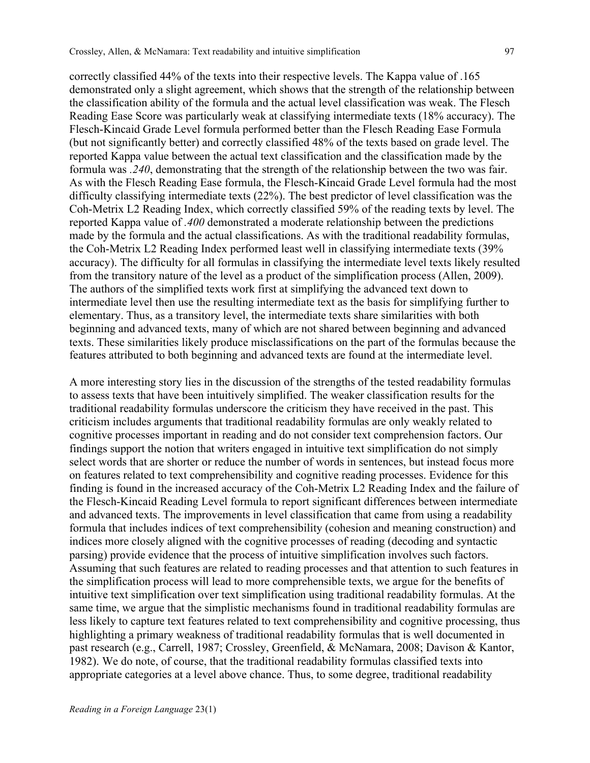correctly classified 44% of the texts into their respective levels. The Kappa value of .165 demonstrated only a slight agreement, which shows that the strength of the relationship between the classification ability of the formula and the actual level classification was weak. The Flesch Reading Ease Score was particularly weak at classifying intermediate texts (18% accuracy). The Flesch-Kincaid Grade Level formula performed better than the Flesch Reading Ease Formula (but not significantly better) and correctly classified 48% of the texts based on grade level. The reported Kappa value between the actual text classification and the classification made by the formula was *.240*, demonstrating that the strength of the relationship between the two was fair. As with the Flesch Reading Ease formula, the Flesch-Kincaid Grade Level formula had the most difficulty classifying intermediate texts (22%). The best predictor of level classification was the Coh-Metrix L2 Reading Index, which correctly classified 59% of the reading texts by level. The reported Kappa value of *.400* demonstrated a moderate relationship between the predictions made by the formula and the actual classifications. As with the traditional readability formulas, the Coh-Metrix L2 Reading Index performed least well in classifying intermediate texts (39%

accuracy). The difficulty for all formulas in classifying the intermediate level texts likely resulted from the transitory nature of the level as a product of the simplification process (Allen, 2009). The authors of the simplified texts work first at simplifying the advanced text down to intermediate level then use the resulting intermediate text as the basis for simplifying further to elementary. Thus, as a transitory level, the intermediate texts share similarities with both beginning and advanced texts, many of which are not shared between beginning and advanced texts. These similarities likely produce misclassifications on the part of the formulas because the features attributed to both beginning and advanced texts are found at the intermediate level.

A more interesting story lies in the discussion of the strengths of the tested readability formulas to assess texts that have been intuitively simplified. The weaker classification results for the traditional readability formulas underscore the criticism they have received in the past. This criticism includes arguments that traditional readability formulas are only weakly related to cognitive processes important in reading and do not consider text comprehension factors. Our findings support the notion that writers engaged in intuitive text simplification do not simply select words that are shorter or reduce the number of words in sentences, but instead focus more on features related to text comprehensibility and cognitive reading processes. Evidence for this finding is found in the increased accuracy of the Coh-Metrix L2 Reading Index and the failure of the Flesch-Kincaid Reading Level formula to report significant differences between intermediate and advanced texts. The improvements in level classification that came from using a readability formula that includes indices of text comprehensibility (cohesion and meaning construction) and indices more closely aligned with the cognitive processes of reading (decoding and syntactic parsing) provide evidence that the process of intuitive simplification involves such factors. Assuming that such features are related to reading processes and that attention to such features in the simplification process will lead to more comprehensible texts, we argue for the benefits of intuitive text simplification over text simplification using traditional readability formulas. At the same time, we argue that the simplistic mechanisms found in traditional readability formulas are less likely to capture text features related to text comprehensibility and cognitive processing, thus highlighting a primary weakness of traditional readability formulas that is well documented in past research (e.g., Carrell, 1987; Crossley, Greenfield, & McNamara, 2008; Davison & Kantor, 1982). We do note, of course, that the traditional readability formulas classified texts into appropriate categories at a level above chance. Thus, to some degree, traditional readability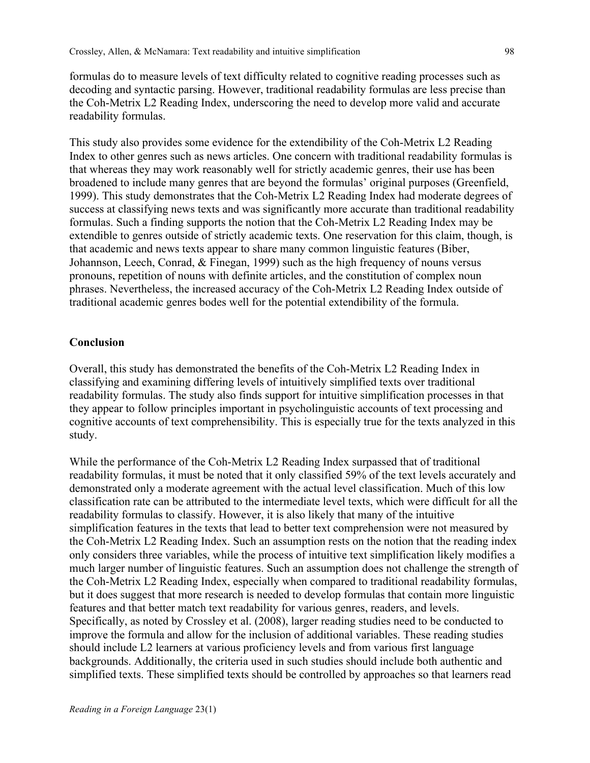formulas do to measure levels of text difficulty related to cognitive reading processes such as decoding and syntactic parsing. However, traditional readability formulas are less precise than the Coh-Metrix L2 Reading Index, underscoring the need to develop more valid and accurate readability formulas.

This study also provides some evidence for the extendibility of the Coh-Metrix L2 Reading Index to other genres such as news articles. One concern with traditional readability formulas is that whereas they may work reasonably well for strictly academic genres, their use has been broadened to include many genres that are beyond the formulas' original purposes (Greenfield, 1999). This study demonstrates that the Coh-Metrix L2 Reading Index had moderate degrees of success at classifying news texts and was significantly more accurate than traditional readability formulas. Such a finding supports the notion that the Coh-Metrix L2 Reading Index may be extendible to genres outside of strictly academic texts. One reservation for this claim, though, is that academic and news texts appear to share many common linguistic features (Biber, Johannson, Leech, Conrad, & Finegan, 1999) such as the high frequency of nouns versus pronouns, repetition of nouns with definite articles, and the constitution of complex noun phrases. Nevertheless, the increased accuracy of the Coh-Metrix L2 Reading Index outside of traditional academic genres bodes well for the potential extendibility of the formula.

### **Conclusion**

Overall, this study has demonstrated the benefits of the Coh-Metrix L2 Reading Index in classifying and examining differing levels of intuitively simplified texts over traditional readability formulas. The study also finds support for intuitive simplification processes in that they appear to follow principles important in psycholinguistic accounts of text processing and cognitive accounts of text comprehensibility. This is especially true for the texts analyzed in this study.

While the performance of the Coh-Metrix L2 Reading Index surpassed that of traditional readability formulas, it must be noted that it only classified 59% of the text levels accurately and demonstrated only a moderate agreement with the actual level classification. Much of this low classification rate can be attributed to the intermediate level texts, which were difficult for all the readability formulas to classify. However, it is also likely that many of the intuitive simplification features in the texts that lead to better text comprehension were not measured by the Coh-Metrix L2 Reading Index. Such an assumption rests on the notion that the reading index only considers three variables, while the process of intuitive text simplification likely modifies a much larger number of linguistic features. Such an assumption does not challenge the strength of the Coh-Metrix L2 Reading Index, especially when compared to traditional readability formulas, but it does suggest that more research is needed to develop formulas that contain more linguistic features and that better match text readability for various genres, readers, and levels. Specifically, as noted by Crossley et al. (2008), larger reading studies need to be conducted to improve the formula and allow for the inclusion of additional variables. These reading studies should include L2 learners at various proficiency levels and from various first language backgrounds. Additionally, the criteria used in such studies should include both authentic and simplified texts. These simplified texts should be controlled by approaches so that learners read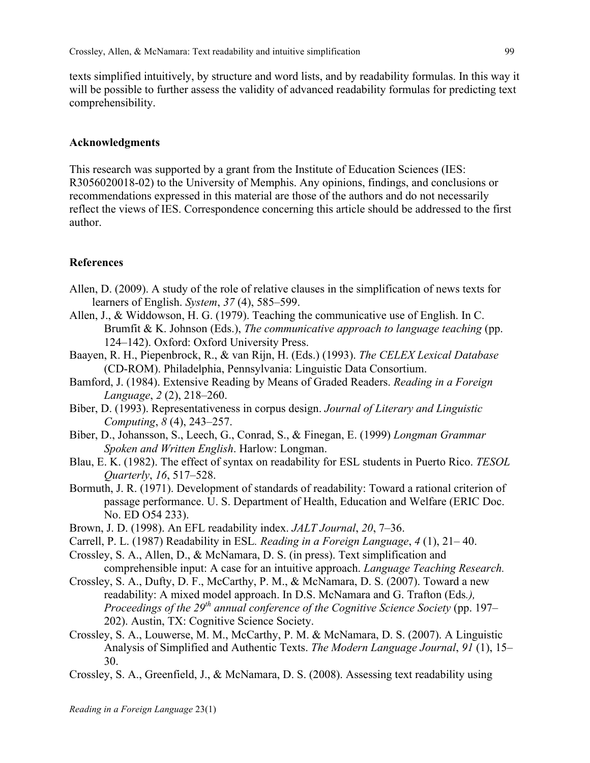texts simplified intuitively, by structure and word lists, and by readability formulas. In this way it will be possible to further assess the validity of advanced readability formulas for predicting text comprehensibility.

### **Acknowledgments**

This research was supported by a grant from the Institute of Education Sciences (IES: R3056020018-02) to the University of Memphis. Any opinions, findings, and conclusions or recommendations expressed in this material are those of the authors and do not necessarily reflect the views of IES. Correspondence concerning this article should be addressed to the first author.

### **References**

- Allen, D. (2009). A study of the role of relative clauses in the simplification of news texts for learners of English. *System*, *37* (4), 585–599.
- Allen, J., & Widdowson, H. G. (1979). Teaching the communicative use of English. In C. Brumfit & K. Johnson (Eds.), *The communicative approach to language teaching* (pp. 124–142). Oxford: Oxford University Press.
- Baayen, R. H., Piepenbrock, R., & van Rijn, H. (Eds.) (1993). *The CELEX Lexical Database* (CD-ROM). Philadelphia, Pennsylvania: Linguistic Data Consortium.
- Bamford, J. (1984). Extensive Reading by Means of Graded Readers. *Reading in a Foreign Language*, *2* (2), 218–260.
- Biber, D. (1993). Representativeness in corpus design. *Journal of Literary and Linguistic Computing*, *8* (4), 243–257.
- Biber, D., Johansson, S., Leech, G., Conrad, S., & Finegan, E. (1999) *Longman Grammar Spoken and Written English*. Harlow: Longman.
- Blau, E. K. (1982). The effect of syntax on readability for ESL students in Puerto Rico. *TESOL Quarterly*, *16*, 517–528.
- Bormuth, J. R. (1971). Development of standards of readability: Toward a rational criterion of passage performance. U. S. Department of Health, Education and Welfare (ERIC Doc. No. ED O54 233).
- Brown, J. D. (1998). An EFL readability index. *JALT Journal*, *20*, 7–36.
- Carrell, P. L. (1987) Readability in ESL*. Reading in a Foreign Language*, *4* (1), 21– 40.
- Crossley, S. A., Allen, D., & McNamara, D. S. (in press). Text simplification and comprehensible input: A case for an intuitive approach. *Language Teaching Research.*
- Crossley, S. A., Dufty, D. F., McCarthy, P. M., & McNamara, D. S. (2007). Toward a new readability: A mixed model approach. In D.S. McNamara and G. Trafton (Eds*.), Proceedings of the 29th annual conference of the Cognitive Science Society* (pp. 197– 202). Austin, TX: Cognitive Science Society.
- Crossley, S. A., Louwerse, M. M., McCarthy, P. M. & McNamara, D. S. (2007). A Linguistic Analysis of Simplified and Authentic Texts. *The Modern Language Journal*, *91* (1), 15– 30.
- Crossley, S. A., Greenfield, J., & McNamara, D. S. (2008). Assessing text readability using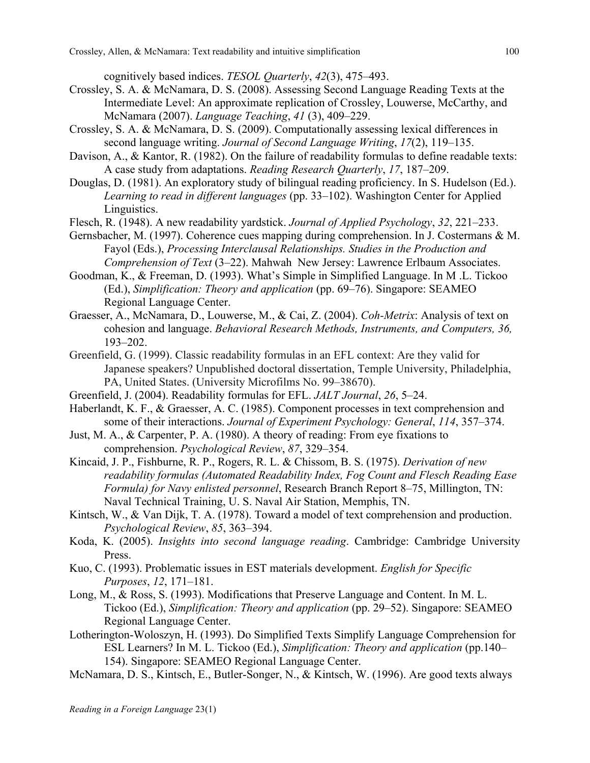cognitively based indices. *TESOL Quarterly*, *42*(3), 475–493.

- Crossley, S. A. & McNamara, D. S. (2008). Assessing Second Language Reading Texts at the Intermediate Level: An approximate replication of Crossley, Louwerse, McCarthy, and McNamara (2007). *Language Teaching*, *41* (3), 409–229.
- Crossley, S. A. & McNamara, D. S. (2009). Computationally assessing lexical differences in second language writing. *Journal of Second Language Writing*, *17*(2), 119–135.
- Davison, A., & Kantor, R. (1982). On the failure of readability formulas to define readable texts: A case study from adaptations. *Reading Research Quarterly*, *17*, 187–209.
- Douglas, D. (1981). An exploratory study of bilingual reading proficiency. In S. Hudelson (Ed.). *Learning to read in different languages* (pp. 33–102). Washington Center for Applied Linguistics.
- Flesch, R. (1948). A new readability yardstick. *Journal of Applied Psychology*, *32*, 221–233.
- Gernsbacher, M. (1997). Coherence cues mapping during comprehension. In J. Costermans & M. Fayol (Eds.), *Processing Interclausal Relationships. Studies in the Production and Comprehension of Text* (3–22). Mahwah New Jersey: Lawrence Erlbaum Associates.
- Goodman, K., & Freeman, D. (1993). What's Simple in Simplified Language. In M .L. Tickoo (Ed.), *Simplification: Theory and application* (pp. 69–76). Singapore: SEAMEO Regional Language Center.
- Graesser, A., McNamara, D., Louwerse, M., & Cai, Z. (2004). *Coh-Metrix*: Analysis of text on cohesion and language. *Behavioral Research Methods, Instruments, and Computers, 36,* 193–202.
- Greenfield, G. (1999). Classic readability formulas in an EFL context: Are they valid for Japanese speakers? Unpublished doctoral dissertation, Temple University, Philadelphia, PA, United States. (University Microfilms No. 99–38670).
- Greenfield, J. (2004). Readability formulas for EFL. *JALT Journal*, *26*, 5–24.
- Haberlandt, K. F., & Graesser, A. C. (1985). Component processes in text comprehension and some of their interactions. *Journal of Experiment Psychology: General*, *114*, 357–374.
- Just, M. A., & Carpenter, P. A. (1980). A theory of reading: From eye fixations to comprehension. *Psychological Review*, *87*, 329–354.
- Kincaid, J. P., Fishburne, R. P., Rogers, R. L. & Chissom, B. S. (1975). *Derivation of new readability formulas (Automated Readability Index, Fog Count and Flesch Reading Ease Formula) for Navy enlisted personnel*, Research Branch Report 8–75, Millington, TN: Naval Technical Training, U. S. Naval Air Station, Memphis, TN.
- Kintsch, W., & Van Dijk, T. A. (1978). Toward a model of text comprehension and production. *Psychological Review*, *85*, 363–394.
- Koda, K. (2005). *Insights into second language reading*. Cambridge: Cambridge University Press.
- Kuo, C. (1993). Problematic issues in EST materials development. *English for Specific Purposes*, *12*, 171–181.
- Long, M., & Ross, S. (1993). Modifications that Preserve Language and Content. In M. L. Tickoo (Ed.), *Simplification: Theory and application* (pp. 29–52). Singapore: SEAMEO Regional Language Center.
- Lotherington-Woloszyn, H. (1993). Do Simplified Texts Simplify Language Comprehension for ESL Learners? In M. L. Tickoo (Ed.), *Simplification: Theory and application* (pp.140– 154). Singapore: SEAMEO Regional Language Center.
- McNamara, D. S., Kintsch, E., Butler-Songer, N., & Kintsch, W. (1996). Are good texts always